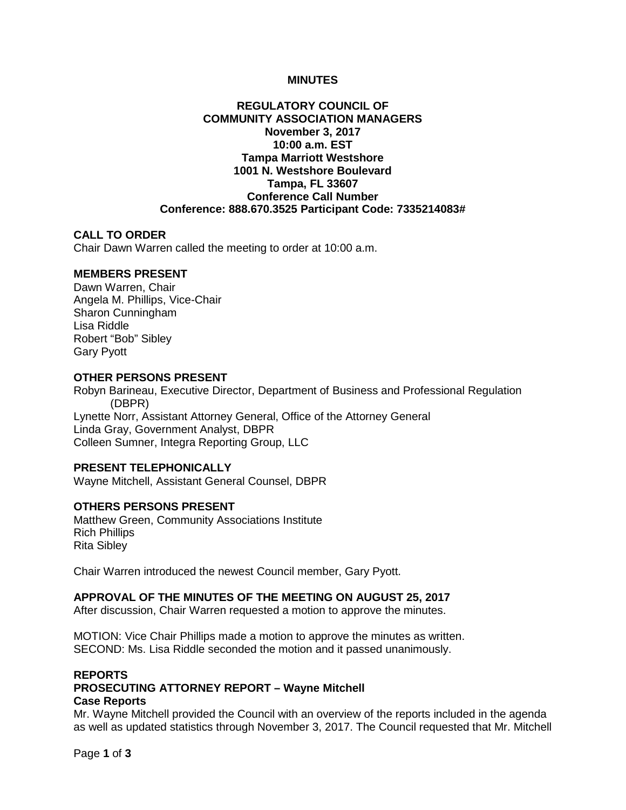### **MINUTES**

## **REGULATORY COUNCIL OF COMMUNITY ASSOCIATION MANAGERS November 3, 2017 10:00 a.m. EST Tampa Marriott Westshore 1001 N. Westshore Boulevard Tampa, FL 33607 Conference Call Number Conference: 888.670.3525 Participant Code: 7335214083#**

#### **CALL TO ORDER**

Chair Dawn Warren called the meeting to order at 10:00 a.m.

# **MEMBERS PRESENT**

Dawn Warren, Chair Angela M. Phillips, Vice-Chair Sharon Cunningham Lisa Riddle Robert "Bob" Sibley Gary Pyott

# **OTHER PERSONS PRESENT**

Robyn Barineau, Executive Director, Department of Business and Professional Regulation (DBPR) Lynette Norr, Assistant Attorney General, Office of the Attorney General Linda Gray, Government Analyst, DBPR Colleen Sumner, Integra Reporting Group, LLC

## **PRESENT TELEPHONICALLY**

Wayne Mitchell, Assistant General Counsel, DBPR

## **OTHERS PERSONS PRESENT**

Matthew Green, Community Associations Institute Rich Phillips Rita Sibley

Chair Warren introduced the newest Council member, Gary Pyott.

### **APPROVAL OF THE MINUTES OF THE MEETING ON AUGUST 25, 2017**

After discussion, Chair Warren requested a motion to approve the minutes.

MOTION: Vice Chair Phillips made a motion to approve the minutes as written. SECOND: Ms. Lisa Riddle seconded the motion and it passed unanimously.

## **REPORTS PROSECUTING ATTORNEY REPORT – Wayne Mitchell Case Reports**

Mr. Wayne Mitchell provided the Council with an overview of the reports included in the agenda as well as updated statistics through November 3, 2017. The Council requested that Mr. Mitchell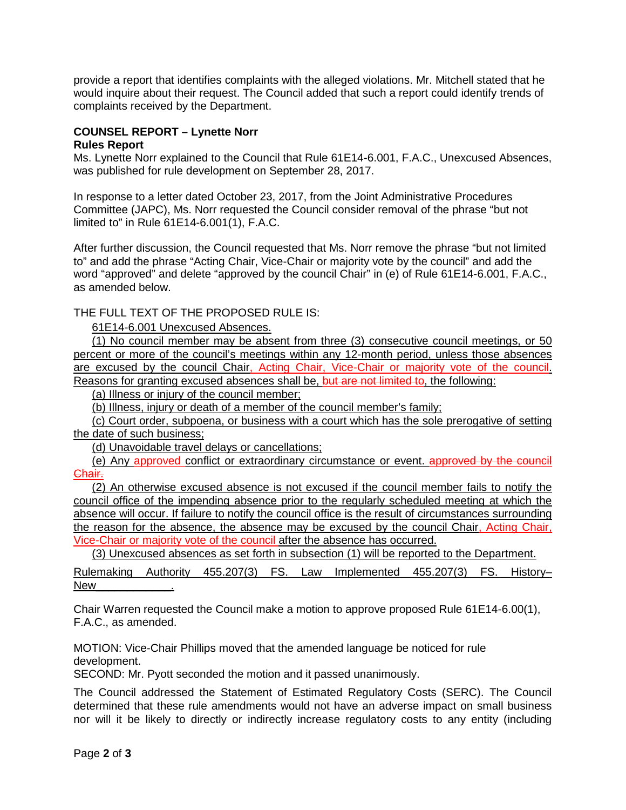provide a report that identifies complaints with the alleged violations. Mr. Mitchell stated that he would inquire about their request. The Council added that such a report could identify trends of complaints received by the Department.

## **COUNSEL REPORT – Lynette Norr Rules Report**

Ms. Lynette Norr explained to the Council that Rule 61E14-6.001, F.A.C., Unexcused Absences, was published for rule development on September 28, 2017.

In response to a letter dated October 23, 2017, from the Joint Administrative Procedures Committee (JAPC), Ms. Norr requested the Council consider removal of the phrase "but not limited to" in Rule 61E14-6.001(1), F.A.C.

After further discussion, the Council requested that Ms. Norr remove the phrase "but not limited to" and add the phrase "Acting Chair, Vice-Chair or majority vote by the council" and add the word "approved" and delete "approved by the council Chair" in (e) of Rule 61E14-6.001, F.A.C., as amended below.

THE FULL TEXT OF THE PROPOSED RULE IS:

61E14-6.001 Unexcused Absences.

(1) No council member may be absent from three (3) consecutive council meetings, or 50 percent or more of the council's meetings within any 12-month period, unless those absences are excused by the council Chair, Acting Chair, Vice-Chair or majority vote of the council. Reasons for granting excused absences shall be, but are not limited to, the following:

(a) Illness or injury of the council member;

(b) Illness, injury or death of a member of the council member's family;

(c) Court order, subpoena, or business with a court which has the sole prerogative of setting the date of such business;

(d) Unavoidable travel delays or cancellations;

(e) Any approved conflict or extraordinary circumstance or event. approved by the council Chair.

(2) An otherwise excused absence is not excused if the council member fails to notify the council office of the impending absence prior to the regularly scheduled meeting at which the absence will occur. If failure to notify the council office is the result of circumstances surrounding the reason for the absence, the absence may be excused by the council Chair, Acting Chair, Vice-Chair or majority vote of the council after the absence has occurred.

(3) Unexcused absences as set forth in subsection (1) will be reported to the Department.

Rulemaking Authority 455.207(3) FS. Law Implemented 455.207(3) FS. History– New

Chair Warren requested the Council make a motion to approve proposed Rule 61E14-6.00(1), F.A.C., as amended.

MOTION: Vice-Chair Phillips moved that the amended language be noticed for rule development.

SECOND: Mr. Pyott seconded the motion and it passed unanimously.

The Council addressed the Statement of Estimated Regulatory Costs (SERC). The Council determined that these rule amendments would not have an adverse impact on small business nor will it be likely to directly or indirectly increase regulatory costs to any entity (including